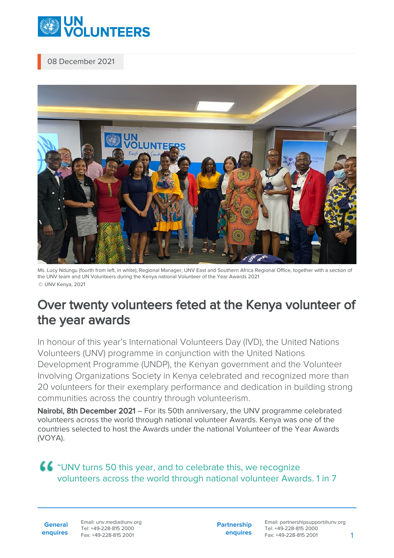

08 December 2021



Ms. Lucy Ndungu (fourth from left, in white), Regional Manager, UNV East and Southern Africa Regional Office, together with a section of the UNV team and UN Volunteers during the Kenya national Volunteer of the Year Awards 2021 © UNV Kenya, 2021

## Over twenty volunteers feted at the Kenya volunteer of the year awards

In honour of this year's International Volunteers Day (IVD), the United Nations Volunteers (UNV) programme in conjunction with the United Nations Development Programme (UNDP), the Kenyan government and the Volunteer Involving Organizations Society in Kenya celebrated and recognized more than 20 volunteers for their exemplary performance and dedication in building strong communities across the country through volunteerism.

Nairobi, 8th December 2021 – For its 50th anniversary, the UNV programme celebrated volunteers across the world through national volunteer Awards. Kenya was one of the countries selected to host the Awards under the national Volunteer of the Year Awards (VOYA).

"UNV turns 50 this year, and to celebrate this, we recognize volunteers across the world through national volunteer Awards. 1 in 7

**General enquires** Email: unv.media@unv.org Tel: +49-228-815 2000 Fax: +49-228-815 2001

**Partnership enquires** Email: partnershipsupport@unv.org Tel: +49-228-815 2000 Fax: +49-228-815 2001 1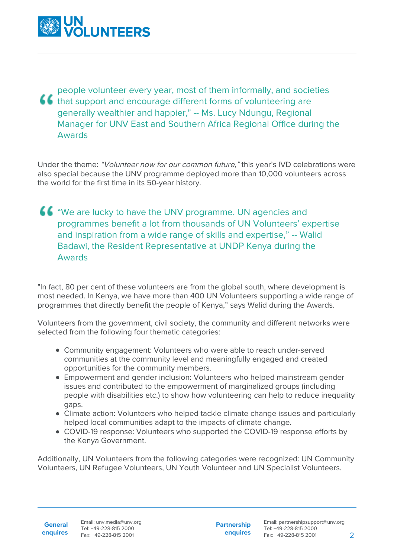

people volunteer every year, most of them informally, and societies **ff** that support and encourage different forms of volunteering are generally wealthier and happier," -- Ms. Lucy Ndungu, Regional Manager for UNV East and Southern Africa Regional Office during the Awards

Under the theme: "Volunteer now for our common future," this year's IVD celebrations were also special because the UNV programme deployed more than 10,000 volunteers across the world for the first time in its 50-year history.

**66** "We are lucky to have the UNV programme. UN agencies and programmes benefit a lot from thousands of UN Volunteers' expertise and inspiration from a wide range of skills and expertise," -- Walid Badawi, the Resident Representative at UNDP Kenya during the Awards

"In fact, 80 per cent of these volunteers are from the global south, where development is most needed. In Kenya, we have more than 400 UN Volunteers supporting a wide range of programmes that directly benefit the people of Kenya," says Walid during the Awards.

Volunteers from the government, civil society, the community and different networks were selected from the following four thematic categories:

- Community engagement: Volunteers who were able to reach under-served communities at the community level and meaningfully engaged and created opportunities for the community members.
- Empowerment and gender inclusion: Volunteers who helped mainstream gender issues and contributed to the empowerment of marginalized groups (including people with disabilities etc.) to show how volunteering can help to reduce inequality gaps.
- Climate action: Volunteers who helped tackle climate change issues and particularly helped local communities adapt to the impacts of climate change.
- COVID-19 response: Volunteers who supported the COVID-19 response efforts by the Kenya Government.

Additionally, UN Volunteers from the following categories were recognized: UN Community Volunteers, UN Refugee Volunteers, UN Youth Volunteer and UN Specialist Volunteers.

**General enquires** **Partnership enquires**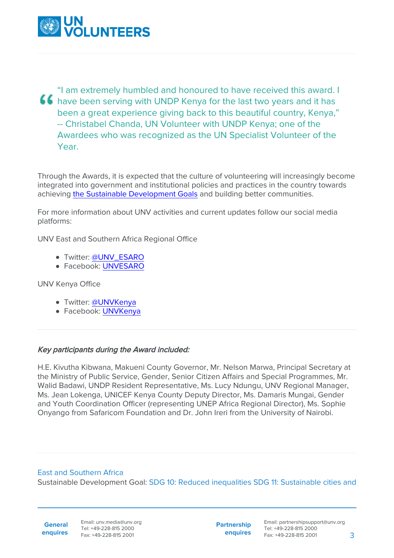

"I am extremely humbled and honoured to have received this award. I **66** have been serving with UNDP Kenya for the last two years and it has been a great experience giving back to this beautiful country, Kenya," -- Christabel Chanda, UN Volunteer with UNDP Kenya; one of the Awardees who was recognized as the UN Specialist Volunteer of the Year.

Through the Awards, it is expected that the culture of volunteering will increasingly become integrated into government and institutional policies and practices in the country towards achieving [the Sustainable Development Goals](https://sdgs.un.org/goals) and building better communities.

For more information about UNV activities and current updates follow our social media platforms:

UNV East and Southern Africa Regional Office

- Twitter: [@UNV\\_ESARO](https://www.unv.org/www.twitter.com/unv_esaro)
- Facebook: [UNVESARO](https://www.unv.org/www.facebook.com/unvesaro)

UNV Kenya Office

- · Twitter: [@UNVKenya](https://www.unv.org/www.twitter.com/unvkenya)
- Facebook: [UNVKenya](https://www.unv.org/www.facebook.com/unvkenya)

## Key participants during the Award included:

H.E. Kivutha Kibwana, Makueni County Governor, Mr. Nelson Marwa, Principal Secretary at the Ministry of Public Service, Gender, Senior Citizen Affairs and Special Programmes, Mr. Walid Badawi, UNDP Resident Representative, Ms. Lucy Ndungu, UNV Regional Manager, Ms. Jean Lokenga, UNICEF Kenya County Deputy Director, Ms. Damaris Mungai, Gender and Youth Coordination Officer (representing UNEP Africa Regional Director), Ms. Sophie Onyango from Safaricom Foundation and Dr. John Ireri from the University of Nairobi.

## East and Southern Africa

Sustainable Development Goal: SDG 10: Reduced inequalities SDG 11: Sustainable cities and

**General enquires** Email: unv.media@unv.org Tel: +49-228-815 2000 Fax: +49-228-815 2001

**Partnership enquires**

Email: partnershipsupport@unv.org Tel: +49-228-815 2000 Fax: +49-228-815 2001 3